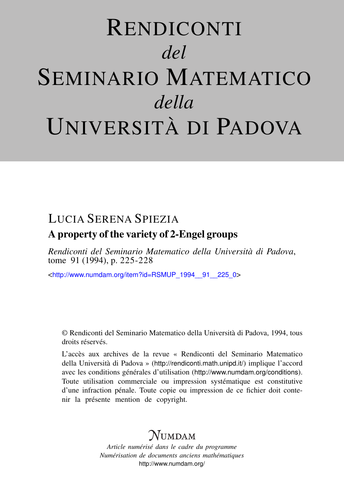# RENDICONTI *del* SEMINARIO MATEMATICO *della* UNIVERSITÀ DI PADOVA

# LUCIA SERENA SPIEZIA

## A property of the variety of 2-Engel groups

*Rendiconti del Seminario Matematico della Università di Padova*, tome 91 (1994), p. 225-228

<[http://www.numdam.org/item?id=RSMUP\\_1994\\_\\_91\\_\\_225\\_0](http://www.numdam.org/item?id=RSMUP_1994__91__225_0)>

© Rendiconti del Seminario Matematico della Università di Padova, 1994, tous droits réservés.

L'accès aux archives de la revue « Rendiconti del Seminario Matematico della Università di Padova » (<http://rendiconti.math.unipd.it/>) implique l'accord avec les conditions générales d'utilisation (<http://www.numdam.org/conditions>). Toute utilisation commerciale ou impression systématique est constitutive d'une infraction pénale. Toute copie ou impression de ce fichier doit contenir la présente mention de copyright.

# $\mathcal N$ umdam

*Article numérisé dans le cadre du programme Numérisation de documents anciens mathématiques* <http://www.numdam.org/>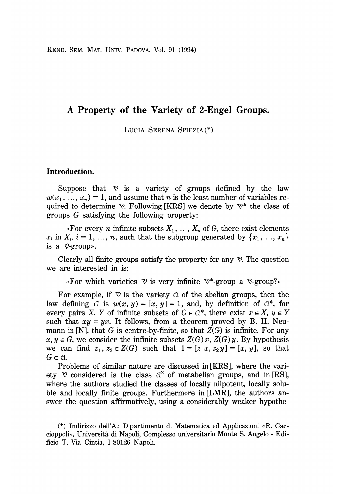REND. SEM. MAT. UNIV. PADOVA, Vol. 91 (1994)

## A Property of the Variety of 2-Engel Groups.

LUCIA SERENA SPIEZIA(\*)

### Introduction.

Suppose that  $\mathcal V$  is a variety of groups defined by the law  $w(x_1, ..., x_n) = 1$ , and assume that n is the least number of variables required to determine  $\mathcal{D}$ . Following [KRS] we denote by  $\mathcal{D}^*$  the class of groups G satisfying the following property:

«For every *n* infinite subsets  $X_1, ..., X_n$  of G, there exist elements  $x_i$  in  $X_i$ ,  $i = 1, ..., n$ , such that the subgroup generated by  $\{x_1, ..., x_n\}$ is a  $\nabla$ -group».

Clearly all finite groups satisfy the property for any  $\mathcal{V}$ . The question we are interested in is:

«For which varieties  $\heartsuit$  is very infinite  $\heartsuit^*$ -group a  $\heartsuit$ -group?»

For example, if  $\mathcal{V}$  is the variety  $\alpha$  of the abelian groups, then the law defining  $\alpha$  is  $w(x, y) = [x, y] = 1$ , and, by definition of  $\alpha^*$ , for every pairs X, Y of infinite subsets of  $G \in \mathbb{C}^*$ , there exist  $x \in X$ ,  $y \in Y$ such that  $xy = yx$ . It follows, from a theorem proved by B. H. Neumann in [N], that G is centre-by-finite, so that  $Z(G)$  is infinite. For any  $x, y \in G$ , we consider the infinite subsets  $Z(G)x$ ,  $Z(G)y$ . By hypothesis we can find  $z_1, z_2 \in Z(G)$  such that  $1 = [z_1x, z_2y] = [x, y]$ , so that  $G \in \mathcal{C}.$ 

Problems of similar nature are discussed in [KRS], where the variety  $\heartsuit$  considered is the class  $\alpha^2$  of metabelian groups, and in [RS], where the authors studied the classes of locally nilpotent, locally soluble and locally finite groups. Furthermore in [LMR], the authors answer the question affirmatively, using a considerably weaker hypothe-

<sup>(\*)</sup> Indirizzo dell'A.: Dipartimento di Matematica ed Applicazioni «R. Caccioppoli», Università di Napoli, Complesso universitario Monte S. Angelo - Edificio T, Via Cintia, 1-80126 Napoli.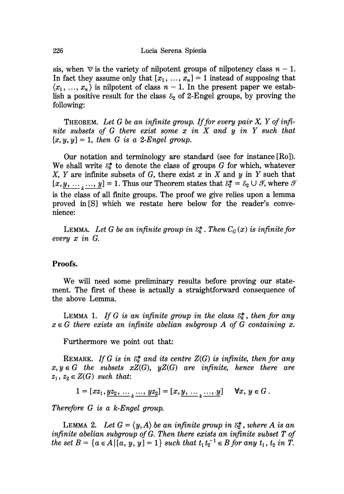sis, when  $\heartsuit$  is the variety of nilpotent groups of nilpotency class  $n-1$ . In fact they assume only that  $[x_1, ..., x_n] = 1$  instead of supposing that  $\langle x_1, \ldots, x_n \rangle$  is nilpotent of class  $n - 1$ . In the present paper we establish a positive result for the class  $\varepsilon_2$  of 2-Engel groups, by proving the following:

THEOREM. Let  $G$  be an infinite group. If for every pair  $X$ ,  $Y$  of infinite subsets of  $G$  there exist some  $x$  in  $X$  and  $y$  in  $Y$  such that  $[x, y, y] = 1$ , then G is a 2-Engel group.

Our notation and terminology are standard (see for instance [Ro]). We shall write  $\mathcal{E}_k^*$  to denote the class of groups G for which, whatever X, Y are infinite subsets of G, there exist  $x$  in  $X$  and  $y$  in  $Y$  such that  $[x, y, ..., y] = 1$ . Thus our Theorem states that  $\delta_2^* = \delta_2 \cup \mathcal{F}$ , where  $\mathcal{F}$ is the class of all finite groups. The proof we give relies upon a lemma proved in [S] which we restate here below for the reader's convenience:

LEMMA. Let G be an infinite group in  $\mathcal{E}_k^*$ . Then  $C_G(x)$  is infinite for every x in G.

### Proofs.

We will need some preliminary results before proving our statement. The first of these is actually a straightforward consequence of the above Lemma.

LEMMA 1. If G is an infinite group in the class  $\mathcal{E}_k^*$ , then for any  $x \in G$  there exists an infinite abelian subgroup A of G containing x.

Furthermore we point out that:

REMARK. If G is in  $\mathcal{E}_k^*$  and its centre  $Z(G)$  is infinite, then for any  $x, y \in G$  the subsets  $xZ(G)$ ,  $yZ(G)$  are infinite, hence there are  $z_1, z_2 \in Z(G)$  such that:

 $1 = [xz_1, yz_2, \ldots, yz_2] = [x, y, \ldots, y] \quad \forall x, y \in G.$ 

Therefore G is a k-Engel group.

LEMMA 2. Let  $G = \langle y, A \rangle$  be an infinite group in  $\mathcal{E}_2^*$ , where A is an infinite abelian subgroup of G. Then there exists an infinite subset T of the set  $B = \{a \in A \,|\, [a, y, y] = 1\}$  such that  $t_1t_2^{-1} \in B$  for any  $t_1, t_2$  in  $T$ .

226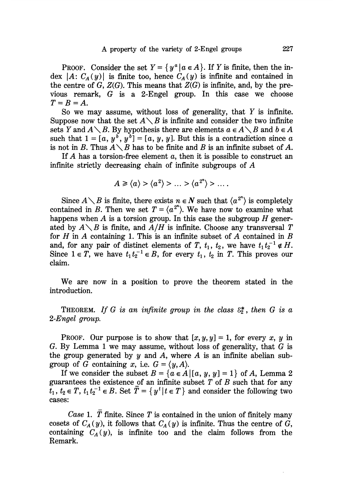PROOF. Consider the set  $Y = \{y^a | a \in A\}$ . If Y is finite, then the index |A:  $C_A(y)$ | is finite too, hence  $C_A(y)$  is infinite and contained in the centre of  $G$ ,  $Z(G)$ . This means that  $Z(G)$  is infinite, and, by the previous remark, G is a 2-Engel group. In this case we choose  $T=B=A$ .

So we may assume, without loss of generality, that  $Y$  is infinite. Suppose now that the set  $A \setminus B$  is infinite and consider the two infinite sets Y and  $A \setminus B$ . By hypothesis there are elements  $a \in A \setminus B$  and  $b \in A$ such that  $1 = [a, y^b, y^b] = [a, y, y]$ . But this is a contradiction since a is not in B. Thus  $A \setminus B$  has to be finite and B is an infinite subset of A.

If  $A$  has a torsion-free element  $a$ , then it is possible to construct an infinite strictly decreasing chain of infinite subgroups of A

$$
A\geqslant \langle a \rangle > \langle a^2 \rangle > \ldots > \langle a^{2^n} \rangle > \ldots.
$$

Since  $A\setminus B$  is finite, there exists  $n \in N$  such that  $\langle a^{2^n} \rangle$  is completely contained in B. Then we set  $T = \langle a^{2^n} \rangle$ . We have now to examine what happens when A is a torsion group. In this case the subgroup  $H$  generated by  $A \setminus B$  is finite, and  $A/H$  is infinite. Choose any transversal T for  $H$  in  $A$  containing 1. This is an infinite subset of  $A$  contained in  $B$ and, for any pair of distinct elements of T,  $t_1$ ,  $t_2$ , we have  $t_1 t_2^{-1} \notin H$ . Since  $1 \in T$ , we have  $t_1 t_2^{-1} \in B$ , for every  $t_1, t_2$  in T. This proves our claim.

We are now in a position to prove the theorem stated in the introduction.

THEOREM. If G is an infinite group in the class  $\mathcal{E}_2^*$ , then G is a 2-Engel group.

**PROOF.** Our purpose is to show that  $[x, y, y] = 1$ , for every x, y in G. By Lemma 1 we may assume, without loss of generality, that  $G$  is the group generated by y and A, where A is an infinite abelian subgroup of G containing x, i.e.  $G = \langle y, A \rangle$ .

If we consider the subset  $B = \{a \in A \mid [a, y, y] = 1\}$  of A, Lemma 2 guarantees the existence of an infinite subset  $T$  of  $B$  such that for any  $\overline{t}_1, t_2 \in T$ ,  $t_1 t_2^{-1} \in B$ . Set  $\overline{T} = \{y^t | t \in T\}$  and consider the following two cases:

Case 1. T finite. Since T is contained in the union of finitely many cosets of  $C_A(y)$ , it follows that  $C_A(y)$  is infinite. Thus the centre of  $\ddot{G}$ , containing  $C_A(y)$ , is infinite too and the claim follows from the Remark.